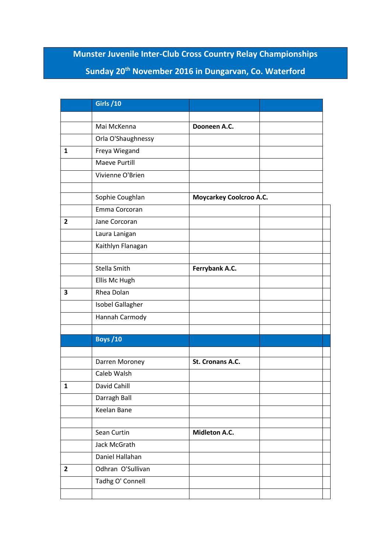## **Munster Juvenile Inter-Club Cross Country Relay Championships Sunday 20th November 2016 in Dungarvan, Co. Waterford**

|              | <b>Girls /10</b>     |                                |  |
|--------------|----------------------|--------------------------------|--|
|              |                      |                                |  |
|              | Mai McKenna          | Dooneen A.C.                   |  |
|              | Orla O'Shaughnessy   |                                |  |
| 1            | Freya Wiegand        |                                |  |
|              | <b>Maeve Purtill</b> |                                |  |
|              | Vivienne O'Brien     |                                |  |
|              |                      |                                |  |
|              | Sophie Coughlan      | <b>Moycarkey Coolcroo A.C.</b> |  |
|              | Emma Corcoran        |                                |  |
| $\mathbf{2}$ | Jane Corcoran        |                                |  |
|              | Laura Lanigan        |                                |  |
|              | Kaithlyn Flanagan    |                                |  |
|              |                      |                                |  |
|              | Stella Smith         | Ferrybank A.C.                 |  |
|              | Ellis Mc Hugh        |                                |  |
| 3            | Rhea Dolan           |                                |  |
|              | Isobel Gallagher     |                                |  |
|              | Hannah Carmody       |                                |  |
|              |                      |                                |  |
|              | <b>Boys /10</b>      |                                |  |
|              | Darren Moroney       | St. Cronans A.C.               |  |
|              | Caleb Walsh          |                                |  |
| 1            | David Cahill         |                                |  |
|              | Darragh Ball         |                                |  |
|              | Keelan Bane          |                                |  |
|              |                      |                                |  |
|              | Sean Curtin          | Midleton A.C.                  |  |
|              | Jack McGrath         |                                |  |
|              | Daniel Hallahan      |                                |  |
| $\mathbf{2}$ | Odhran O'Sullivan    |                                |  |
|              | Tadhg O' Connell     |                                |  |
|              |                      |                                |  |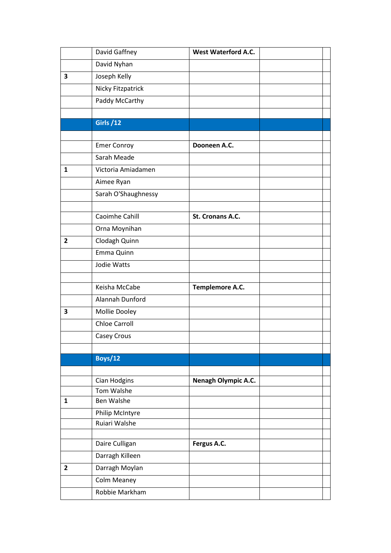|                | David Gaffney        | <b>West Waterford A.C.</b> |  |
|----------------|----------------------|----------------------------|--|
|                | David Nyhan          |                            |  |
| 3              | Joseph Kelly         |                            |  |
|                | Nicky Fitzpatrick    |                            |  |
|                | Paddy McCarthy       |                            |  |
|                |                      |                            |  |
|                | <b>Girls /12</b>     |                            |  |
|                |                      |                            |  |
|                | <b>Emer Conroy</b>   | Dooneen A.C.               |  |
|                | Sarah Meade          |                            |  |
| 1              | Victoria Amiadamen   |                            |  |
|                | Aimee Ryan           |                            |  |
|                | Sarah O'Shaughnessy  |                            |  |
|                |                      |                            |  |
|                | Caoimhe Cahill       | St. Cronans A.C.           |  |
|                | Orna Moynihan        |                            |  |
| $\overline{2}$ | Clodagh Quinn        |                            |  |
|                | Emma Quinn           |                            |  |
|                | Jodie Watts          |                            |  |
|                |                      |                            |  |
|                | Keisha McCabe        | Templemore A.C.            |  |
|                | Alannah Dunford      |                            |  |
| 3              | Mollie Dooley        |                            |  |
|                | <b>Chloe Carroll</b> |                            |  |
|                | Casey Crous          |                            |  |
|                |                      |                            |  |
|                | Boys/12              |                            |  |
|                |                      |                            |  |
|                | Cian Hodgins         | Nenagh Olympic A.C.        |  |
|                | Tom Walshe           |                            |  |
| $\mathbf{1}$   | <b>Ben Walshe</b>    |                            |  |
|                | Philip McIntyre      |                            |  |
|                | Ruiari Walshe        |                            |  |
|                | Daire Culligan       | Fergus A.C.                |  |
|                | Darragh Killeen      |                            |  |
| $\overline{2}$ | Darragh Moylan       |                            |  |
|                | Colm Meaney          |                            |  |
|                | Robbie Markham       |                            |  |
|                |                      |                            |  |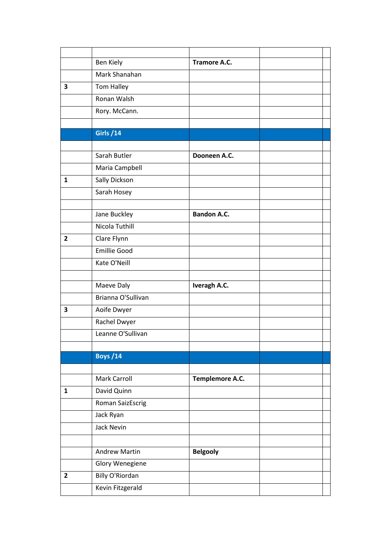|                         | <b>Ben Kiely</b>     | <b>Tramore A.C.</b> |  |
|-------------------------|----------------------|---------------------|--|
|                         | Mark Shanahan        |                     |  |
| $\overline{\mathbf{3}}$ | Tom Halley           |                     |  |
|                         | Ronan Walsh          |                     |  |
|                         | Rory. McCann.        |                     |  |
|                         |                      |                     |  |
|                         | <b>Girls /14</b>     |                     |  |
|                         |                      |                     |  |
|                         | Sarah Butler         | Dooneen A.C.        |  |
|                         | Maria Campbell       |                     |  |
| $\mathbf{1}$            | Sally Dickson        |                     |  |
|                         | Sarah Hosey          |                     |  |
|                         |                      |                     |  |
|                         | Jane Buckley         | <b>Bandon A.C.</b>  |  |
|                         | Nicola Tuthill       |                     |  |
| $\mathbf{2}$            | Clare Flynn          |                     |  |
|                         | <b>Emillie Good</b>  |                     |  |
|                         | Kate O'Neill         |                     |  |
|                         |                      |                     |  |
|                         | Maeve Daly           | Iveragh A.C.        |  |
|                         | Brianna O'Sullivan   |                     |  |
| 3                       | Aoife Dwyer          |                     |  |
|                         | Rachel Dwyer         |                     |  |
|                         | Leanne O'Sullivan    |                     |  |
|                         |                      |                     |  |
|                         | <b>Boys /14</b>      |                     |  |
|                         | <b>Mark Carroll</b>  | Templemore A.C.     |  |
| 1                       | David Quinn          |                     |  |
|                         | Roman SaizEscrig     |                     |  |
|                         | Jack Ryan            |                     |  |
|                         | Jack Nevin           |                     |  |
|                         |                      |                     |  |
|                         |                      |                     |  |
|                         | <b>Andrew Martin</b> | <b>Belgooly</b>     |  |
|                         | Glory Wenegiene      |                     |  |
| $\overline{2}$          | Billy O'Riordan      |                     |  |
|                         | Kevin Fitzgerald     |                     |  |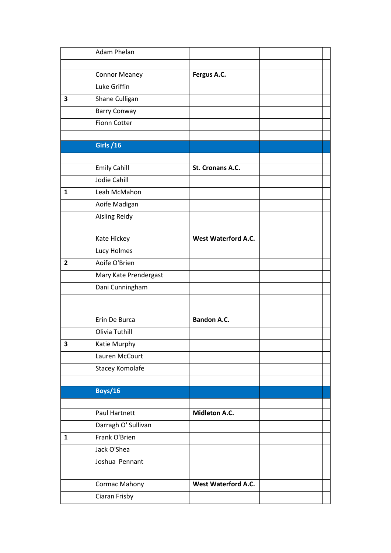|                | Adam Phelan           |                            |  |
|----------------|-----------------------|----------------------------|--|
|                |                       |                            |  |
|                | <b>Connor Meaney</b>  | Fergus A.C.                |  |
|                | Luke Griffin          |                            |  |
| 3              | Shane Culligan        |                            |  |
|                | <b>Barry Conway</b>   |                            |  |
|                | <b>Fionn Cotter</b>   |                            |  |
|                |                       |                            |  |
|                | <b>Girls /16</b>      |                            |  |
|                |                       |                            |  |
|                | <b>Emily Cahill</b>   | St. Cronans A.C.           |  |
|                | <b>Jodie Cahill</b>   |                            |  |
| $\mathbf{1}$   | Leah McMahon          |                            |  |
|                | Aoife Madigan         |                            |  |
|                | <b>Aisling Reidy</b>  |                            |  |
|                |                       |                            |  |
|                | Kate Hickey           | <b>West Waterford A.C.</b> |  |
|                | Lucy Holmes           |                            |  |
| $\overline{2}$ | Aoife O'Brien         |                            |  |
|                | Mary Kate Prendergast |                            |  |
|                | Dani Cunningham       |                            |  |
|                |                       |                            |  |
|                |                       |                            |  |
|                | Erin De Burca         | <b>Bandon A.C.</b>         |  |
|                | Olivia Tuthill        |                            |  |
| 3              | Katie Murphy          |                            |  |
|                | Lauren McCourt        |                            |  |
|                | Stacey Komolafe       |                            |  |
|                |                       |                            |  |
|                | <b>Boys/16</b>        |                            |  |
|                |                       |                            |  |
|                | Paul Hartnett         | Midleton A.C.              |  |
|                | Darragh O' Sullivan   |                            |  |
| $\mathbf{1}$   | Frank O'Brien         |                            |  |
|                | Jack O'Shea           |                            |  |
|                | Joshua Pennant        |                            |  |
|                |                       |                            |  |
|                | Cormac Mahony         | <b>West Waterford A.C.</b> |  |
|                | Ciaran Frisby         |                            |  |